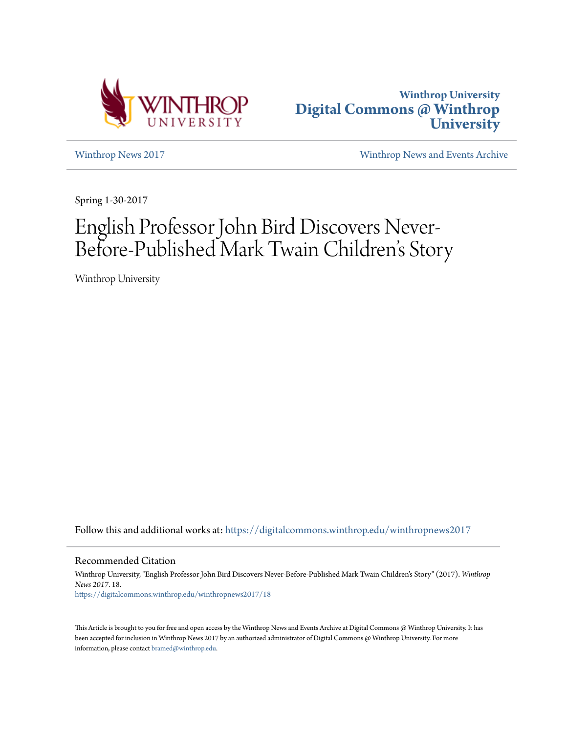



[Winthrop News 2017](https://digitalcommons.winthrop.edu/winthropnews2017?utm_source=digitalcommons.winthrop.edu%2Fwinthropnews2017%2F18&utm_medium=PDF&utm_campaign=PDFCoverPages) [Winthrop News and Events Archive](https://digitalcommons.winthrop.edu/winthropnewsarchives?utm_source=digitalcommons.winthrop.edu%2Fwinthropnews2017%2F18&utm_medium=PDF&utm_campaign=PDFCoverPages)

Spring 1-30-2017

# English Professor John Bird Discovers Never-Before-Published Mark Twain Children 's Story

Winthrop University

Follow this and additional works at: [https://digitalcommons.winthrop.edu/winthropnews2017](https://digitalcommons.winthrop.edu/winthropnews2017?utm_source=digitalcommons.winthrop.edu%2Fwinthropnews2017%2F18&utm_medium=PDF&utm_campaign=PDFCoverPages)

Recommended Citation

Winthrop University, "English Professor John Bird Discovers Never-Before-Published Mark Twain Children's Story" (2017). *Winthrop News 2017*. 18. [https://digitalcommons.winthrop.edu/winthropnews2017/18](https://digitalcommons.winthrop.edu/winthropnews2017/18?utm_source=digitalcommons.winthrop.edu%2Fwinthropnews2017%2F18&utm_medium=PDF&utm_campaign=PDFCoverPages)

This Article is brought to you for free and open access by the Winthrop News and Events Archive at Digital Commons @ Winthrop University. It has been accepted for inclusion in Winthrop News 2017 by an authorized administrator of Digital Commons @ Winthrop University. For more information, please contact [bramed@winthrop.edu](mailto:bramed@winthrop.edu).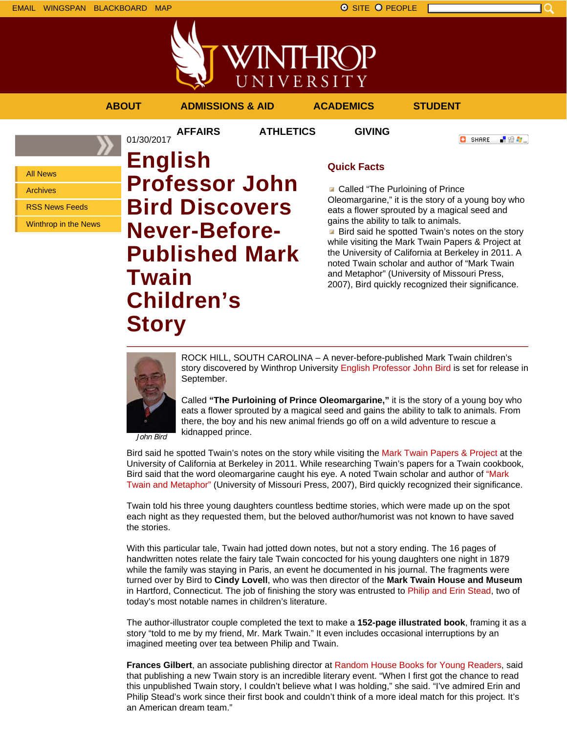

VINTHROP UNIVERSITY

## **ABOUT ADMISSIONS & AID ACADEMICS STUDENT**

01/30/2017

**AFFAIRS ATHLETICS GIVING**

```
C SHARE
「验費」
```
All News

Archives

RSS News Feeds

Winthrop in the News

**English Professor John Bird Discovers Never-Before-Published Mark Twain Children's Story**

# **Quick Facts**

**Called "The Purloining of Prince** Oleomargarine," it is the story of a young boy who eats a flower sprouted by a magical seed and gains the ability to talk to animals.

**Bird said he spotted Twain's notes on the story** while visiting the Mark Twain Papers & Project at the University of California at Berkeley in 2011. A noted Twain scholar and author of "Mark Twain and Metaphor" (University of Missouri Press, 2007), Bird quickly recognized their significance.



ROCK HILL, SOUTH CAROLINA – A never-before-published Mark Twain children's story discovered by Winthrop University English Professor John Bird is set for release in September.

Called **"The Purloining of Prince Oleomargarine,"** it is the story of a young boy who eats a flower sprouted by a magical seed and gains the ability to talk to animals. From there, the boy and his new animal friends go off on a wild adventure to rescue a kidnapped prince.

John Bird

Bird said he spotted Twain's notes on the story while visiting the Mark Twain Papers & Project at the University of California at Berkeley in 2011. While researching Twain's papers for a Twain cookbook, Bird said that the word oleomargarine caught his eye. A noted Twain scholar and author of "Mark Twain and Metaphor" (University of Missouri Press, 2007), Bird quickly recognized their significance.

Twain told his three young daughters countless bedtime stories, which were made up on the spot each night as they requested them, but the beloved author/humorist was not known to have saved the stories.

With this particular tale, Twain had jotted down notes, but not a story ending. The 16 pages of handwritten notes relate the fairy tale Twain concocted for his young daughters one night in 1879 while the family was staying in Paris, an event he documented in his journal. The fragments were turned over by Bird to **Cindy Lovell**, who was then director of the **Mark Twain House and Museum** in Hartford, Connecticut. The job of finishing the story was entrusted to Philip and Erin Stead, two of today's most notable names in children's literature.

The author-illustrator couple completed the text to make a **152-page illustrated book**, framing it as a story "told to me by my friend, Mr. Mark Twain." It even includes occasional interruptions by an imagined meeting over tea between Philip and Twain.

**Frances Gilbert**, an associate publishing director at Random House Books for Young Readers, said that publishing a new Twain story is an incredible literary event. "When I first got the chance to read this unpublished Twain story, I couldn't believe what I was holding," she said. "I've admired Erin and Philip Stead's work since their first book and couldn't think of a more ideal match for this project. It's an American dream team."